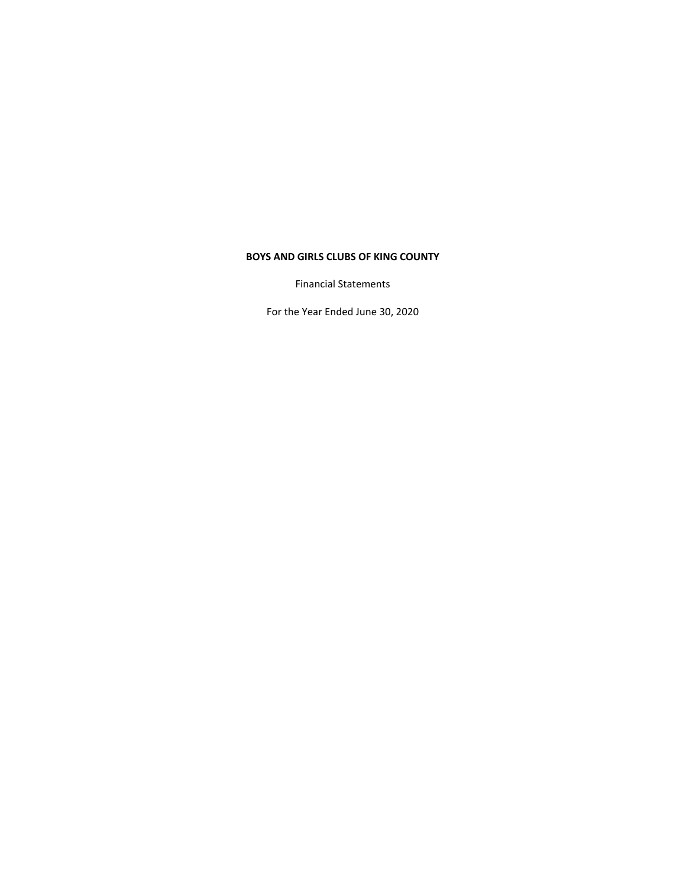Financial Statements

For the Year Ended June 30, 2020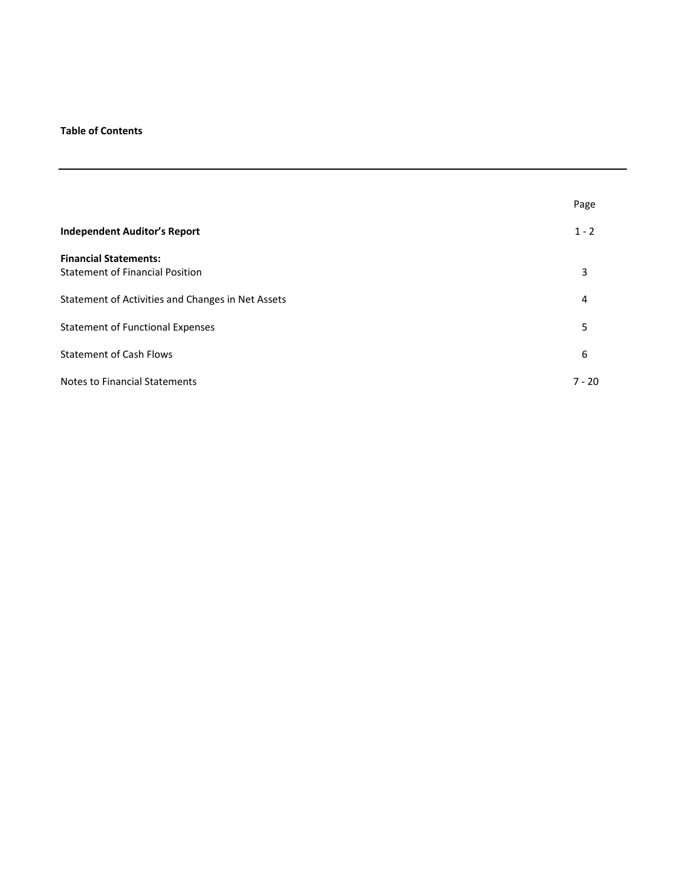# **Table of Contents**

|                                                   | Page     |
|---------------------------------------------------|----------|
| <b>Independent Auditor's Report</b>               | $1 - 2$  |
| <b>Financial Statements:</b>                      |          |
| <b>Statement of Financial Position</b>            | 3        |
| Statement of Activities and Changes in Net Assets | 4        |
| <b>Statement of Functional Expenses</b>           | 5        |
| <b>Statement of Cash Flows</b>                    | 6        |
| <b>Notes to Financial Statements</b>              | $7 - 20$ |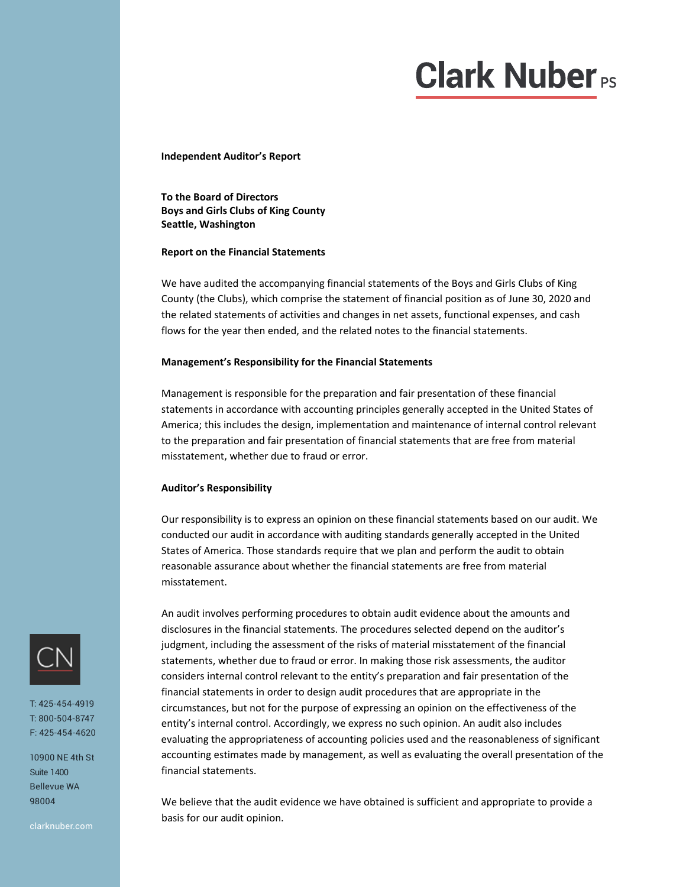# **Clark Nuber**<sub>Ps</sub>

**Independent Auditor's Report**

**To the Board of Directors Boys and Girls Clubs of King County Seattle, Washington**

#### **Report on the Financial Statements**

We have audited the accompanying financial statements of the Boys and Girls Clubs of King County (the Clubs), which comprise the statement of financial position as of June 30, 2020 and the related statements of activities and changes in net assets, functional expenses, and cash flows for the year then ended, and the related notes to the financial statements.

#### **Management's Responsibility for the Financial Statements**

Management is responsible for the preparation and fair presentation of these financial statements in accordance with accounting principles generally accepted in the United States of America; this includes the design, implementation and maintenance of internal control relevant to the preparation and fair presentation of financial statements that are free from material misstatement, whether due to fraud or error.

#### **Auditor's Responsibility**

Our responsibility is to express an opinion on these financial statements based on our audit. We conducted our audit in accordance with auditing standards generally accepted in the United States of America. Those standards require that we plan and perform the audit to obtain reasonable assurance about whether the financial statements are free from material misstatement.

An audit involves performing procedures to obtain audit evidence about the amounts and disclosures in the financial statements. The procedures selected depend on the auditor's judgment, including the assessment of the risks of material misstatement of the financial statements, whether due to fraud or error. In making those risk assessments, the auditor considers internal control relevant to the entity's preparation and fair presentation of the financial statements in order to design audit procedures that are appropriate in the circumstances, but not for the purpose of expressing an opinion on the effectiveness of the entity's internal control. Accordingly, we express no such opinion. An audit also includes evaluating the appropriateness of accounting policies used and the reasonableness of significant accounting estimates made by management, as well as evaluating the overall presentation of the financial statements.

We believe that the audit evidence we have obtained is sufficient and appropriate to provide a basis for our audit opinion.



T: 425-454-4919 T: 800-504-8747 F: 425-454-4620

10900 NE 4th St Suite 1400 Bellevue WA 98004

clarknuber.com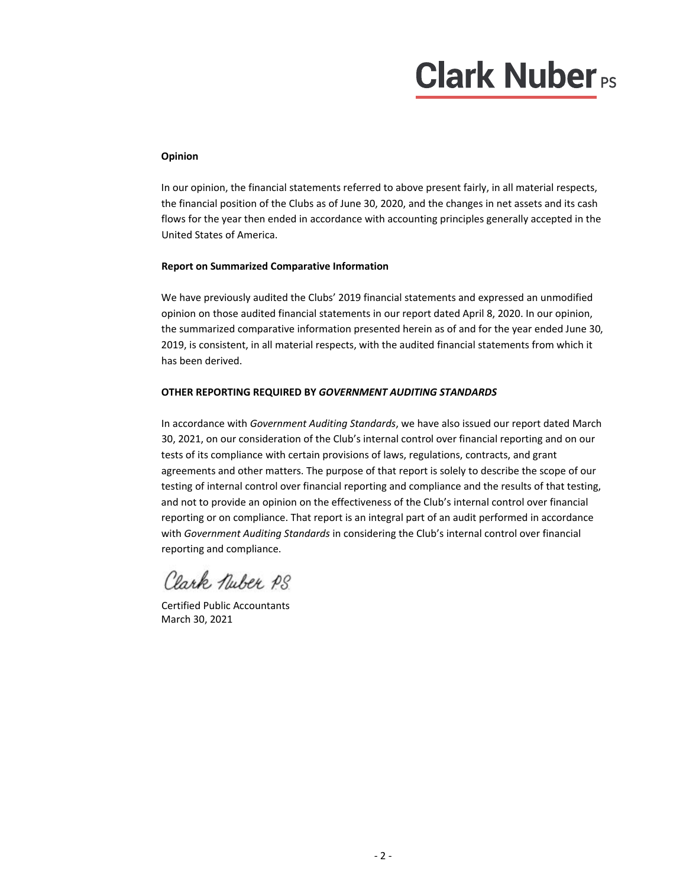# **Clark Nuber**<sub>PS</sub>

# **Opinion**

In our opinion, the financial statements referred to above present fairly, in all material respects, the financial position of the Clubs as of June 30, 2020, and the changes in net assets and its cash flows for the year then ended in accordance with accounting principles generally accepted in the United States of America.

# **Report on Summarized Comparative Information**

We have previously audited the Clubs' 2019 financial statements and expressed an unmodified opinion on those audited financial statements in our report dated April 8, 2020. In our opinion, the summarized comparative information presented herein as of and for the year ended June 30, 2019, is consistent, in all material respects, with the audited financial statements from which it has been derived.

# **OTHER REPORTING REQUIRED BY** *GOVERNMENT AUDITING STANDARDS*

In accordance with *Government Auditing Standards*, we have also issued our report dated March 30, 2021, on our consideration of the Club's internal control over financial reporting and on our tests of its compliance with certain provisions of laws, regulations, contracts, and grant agreements and other matters. The purpose of that report is solely to describe the scope of our testing of internal control over financial reporting and compliance and the results of that testing, and not to provide an opinion on the effectiveness of the Club's internal control over financial reporting or on compliance. That report is an integral part of an audit performed in accordance with *Government Auditing Standards* in considering the Club's internal control over financial reporting and compliance.

Clark Nuber PS

Certified Public Accountants March 30, 2021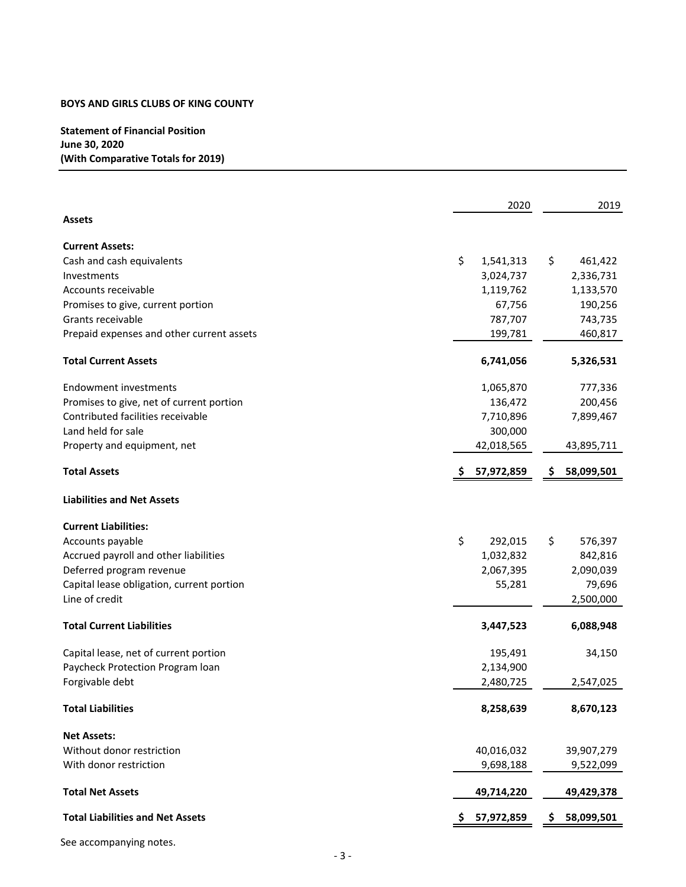# **Statement of Financial Position June 30, 2020 (With Comparative Totals for 2019)**

|                                           |    | 2020       |     | 2019       |
|-------------------------------------------|----|------------|-----|------------|
| <b>Assets</b>                             |    |            |     |            |
| <b>Current Assets:</b>                    |    |            |     |            |
| Cash and cash equivalents                 | \$ | 1,541,313  | \$  | 461,422    |
| Investments                               |    | 3,024,737  |     | 2,336,731  |
| Accounts receivable                       |    | 1,119,762  |     | 1,133,570  |
| Promises to give, current portion         |    | 67,756     |     | 190,256    |
| Grants receivable                         |    | 787,707    |     | 743,735    |
| Prepaid expenses and other current assets |    | 199,781    |     | 460,817    |
| <b>Total Current Assets</b>               |    | 6,741,056  |     | 5,326,531  |
| <b>Endowment investments</b>              |    | 1,065,870  |     | 777,336    |
| Promises to give, net of current portion  |    | 136,472    |     | 200,456    |
| Contributed facilities receivable         |    | 7,710,896  |     | 7,899,467  |
| Land held for sale                        |    | 300,000    |     |            |
| Property and equipment, net               |    | 42,018,565 |     | 43,895,711 |
| <b>Total Assets</b>                       |    | 57,972,859 | S.  | 58,099,501 |
| <b>Liabilities and Net Assets</b>         |    |            |     |            |
| <b>Current Liabilities:</b>               |    |            |     |            |
| Accounts payable                          | \$ | 292,015    | \$  | 576,397    |
| Accrued payroll and other liabilities     |    | 1,032,832  |     | 842,816    |
| Deferred program revenue                  |    | 2,067,395  |     | 2,090,039  |
| Capital lease obligation, current portion |    | 55,281     |     | 79,696     |
| Line of credit                            |    |            |     | 2,500,000  |
| <b>Total Current Liabilities</b>          |    | 3,447,523  |     | 6,088,948  |
| Capital lease, net of current portion     |    | 195,491    |     | 34,150     |
| Paycheck Protection Program loan          |    | 2,134,900  |     |            |
| Forgivable debt                           |    | 2,480,725  |     | 2,547,025  |
| <b>Total Liabilities</b>                  |    | 8,258,639  |     | 8,670,123  |
| <b>Net Assets:</b>                        |    |            |     |            |
| Without donor restriction                 |    | 40,016,032 |     | 39,907,279 |
| With donor restriction                    |    | 9,698,188  |     | 9,522,099  |
| <b>Total Net Assets</b>                   |    | 49,714,220 |     | 49,429,378 |
| <b>Total Liabilities and Net Assets</b>   | Ş  | 57,972,859 | \$, | 58,099,501 |

See accompanying notes.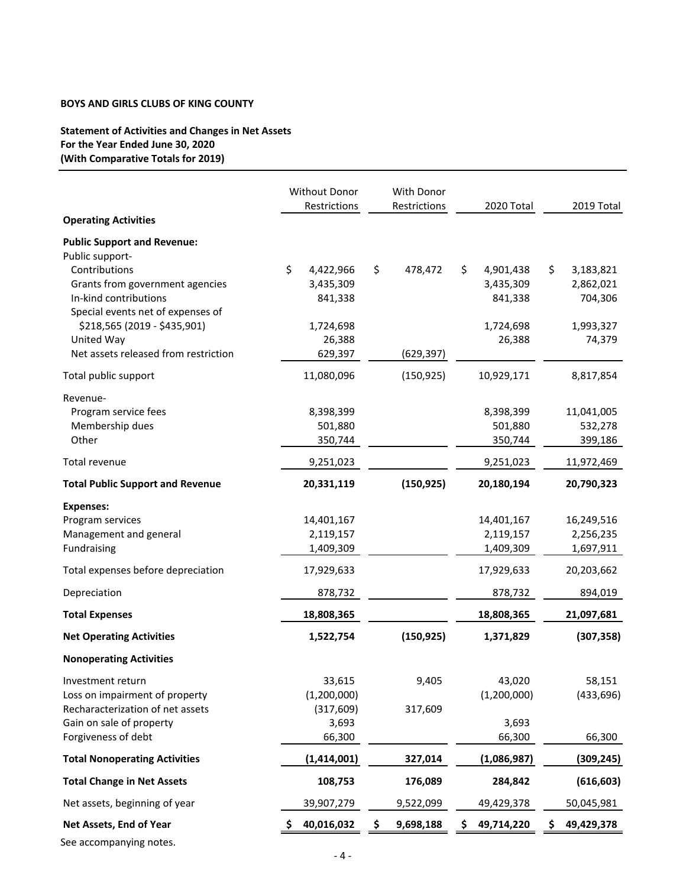# **Statement of Activities and Changes in Net Assets For the Year Ended June 30, 2020 (With Comparative Totals for 2019)**

|                                                       | Without Donor     | <b>With Donor</b> |                  |                  |
|-------------------------------------------------------|-------------------|-------------------|------------------|------------------|
| <b>Operating Activities</b>                           | Restrictions      | Restrictions      | 2020 Total       | 2019 Total       |
|                                                       |                   |                   |                  |                  |
| <b>Public Support and Revenue:</b><br>Public support- |                   |                   |                  |                  |
| Contributions                                         | \$<br>4,422,966   | \$<br>478,472     | \$<br>4,901,438  | \$.<br>3,183,821 |
| Grants from government agencies                       | 3,435,309         |                   | 3,435,309        | 2,862,021        |
| In-kind contributions                                 | 841,338           |                   | 841,338          | 704,306          |
| Special events net of expenses of                     |                   |                   |                  |                  |
| \$218,565 (2019 - \$435,901)                          | 1,724,698         |                   | 1,724,698        | 1,993,327        |
| United Way<br>Net assets released from restriction    | 26,388<br>629,397 | (629, 397)        | 26,388           | 74,379           |
|                                                       |                   |                   |                  |                  |
| Total public support                                  | 11,080,096        | (150, 925)        | 10,929,171       | 8,817,854        |
| Revenue-                                              |                   |                   |                  |                  |
| Program service fees                                  | 8,398,399         |                   | 8,398,399        | 11,041,005       |
| Membership dues                                       | 501,880           |                   | 501,880          | 532,278          |
| Other                                                 | 350,744           |                   | 350,744          | 399,186          |
| Total revenue                                         | 9,251,023         |                   | 9,251,023        | 11,972,469       |
| <b>Total Public Support and Revenue</b>               | 20,331,119        | (150, 925)        | 20,180,194       | 20,790,323       |
| <b>Expenses:</b>                                      |                   |                   |                  |                  |
| Program services                                      | 14,401,167        |                   | 14,401,167       | 16,249,516       |
| Management and general                                | 2,119,157         |                   | 2,119,157        | 2,256,235        |
| Fundraising                                           | 1,409,309         |                   | 1,409,309        | 1,697,911        |
| Total expenses before depreciation                    | 17,929,633        |                   | 17,929,633       | 20,203,662       |
| Depreciation                                          | 878,732           |                   | 878,732          | 894,019          |
| <b>Total Expenses</b>                                 | 18,808,365        |                   | 18,808,365       | 21,097,681       |
| <b>Net Operating Activities</b>                       | 1,522,754         | (150, 925)        | 1,371,829        | (307, 358)       |
| <b>Nonoperating Activities</b>                        |                   |                   |                  |                  |
| Investment return                                     | 33,615            | 9,405             | 43,020           | 58,151           |
| Loss on impairment of property                        | (1,200,000)       |                   | (1,200,000)      | (433, 696)       |
| Recharacterization of net assets                      | (317, 609)        | 317,609           |                  |                  |
| Gain on sale of property                              | 3,693             |                   | 3,693            |                  |
| Forgiveness of debt                                   | 66,300            |                   | 66,300           | 66,300           |
| <b>Total Nonoperating Activities</b>                  | (1, 414, 001)     | 327,014           | (1,086,987)      | (309, 245)       |
| <b>Total Change in Net Assets</b>                     | 108,753           | 176,089           | 284,842          | (616, 603)       |
| Net assets, beginning of year                         | 39,907,279        | 9,522,099         | 49,429,378       | 50,045,981       |
| Net Assets, End of Year                               | 40,016,032<br>S   | \$<br>9,698,188   | \$<br>49,714,220 | \$<br>49,429,378 |
| See accompanying notes.                               |                   |                   |                  |                  |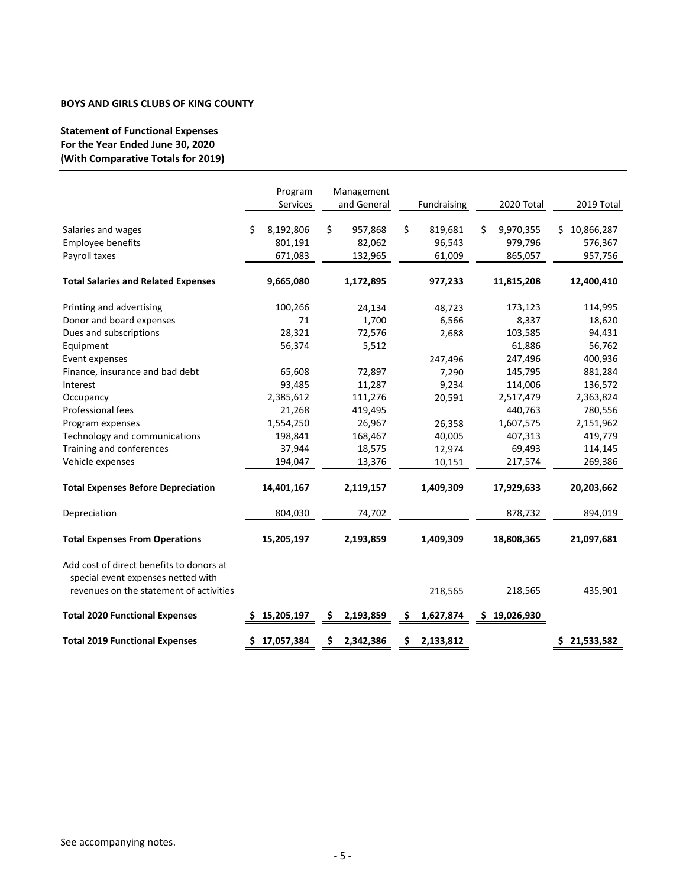# **Statement of Functional Expenses For the Year Ended June 30, 2020 (With Comparative Totals for 2019)**

|                                                                                                                           | Program<br>Services | Management<br>and General | Fundraising     | 2020 Total      | 2019 Total        |
|---------------------------------------------------------------------------------------------------------------------------|---------------------|---------------------------|-----------------|-----------------|-------------------|
| Salaries and wages                                                                                                        | \$<br>8,192,806     | \$<br>957,868             | \$<br>819,681   | \$<br>9,970,355 | 10,866,287<br>\$. |
| Employee benefits                                                                                                         | 801,191             | 82,062                    | 96,543          | 979,796         | 576,367           |
| Payroll taxes                                                                                                             | 671,083             | 132,965                   | 61,009          | 865,057         | 957,756           |
| <b>Total Salaries and Related Expenses</b>                                                                                | 9,665,080           | 1,172,895                 | 977,233         | 11,815,208      | 12,400,410        |
| Printing and advertising                                                                                                  | 100,266             | 24,134                    | 48,723          | 173,123         | 114,995           |
| Donor and board expenses                                                                                                  | 71                  | 1,700                     | 6,566           | 8,337           | 18,620            |
| Dues and subscriptions                                                                                                    | 28,321              | 72,576                    | 2,688           | 103,585         | 94,431            |
| Equipment                                                                                                                 | 56,374              | 5,512                     |                 | 61,886          | 56,762            |
| Event expenses                                                                                                            |                     |                           | 247,496         | 247,496         | 400,936           |
| Finance, insurance and bad debt                                                                                           | 65,608              | 72,897                    | 7,290           | 145,795         | 881,284           |
| Interest                                                                                                                  | 93,485              | 11,287                    | 9,234           | 114,006         | 136,572           |
| Occupancy                                                                                                                 | 2,385,612           | 111,276                   | 20,591          | 2,517,479       | 2,363,824         |
| Professional fees                                                                                                         | 21,268              | 419,495                   |                 | 440,763         | 780,556           |
| Program expenses                                                                                                          | 1,554,250           | 26,967                    | 26,358          | 1,607,575       | 2,151,962         |
| Technology and communications                                                                                             | 198,841             | 168,467                   | 40,005          | 407,313         | 419,779           |
| Training and conferences                                                                                                  | 37,944              | 18,575                    | 12,974          | 69,493          | 114,145           |
| Vehicle expenses                                                                                                          | 194,047             | 13,376                    | 10,151          | 217,574         | 269,386           |
| <b>Total Expenses Before Depreciation</b>                                                                                 | 14,401,167          | 2,119,157                 | 1,409,309       | 17,929,633      | 20,203,662        |
| Depreciation                                                                                                              | 804,030             | 74,702                    |                 | 878,732         | 894,019           |
| <b>Total Expenses From Operations</b>                                                                                     | 15,205,197          | 2,193,859                 | 1,409,309       | 18,808,365      | 21,097,681        |
| Add cost of direct benefits to donors at<br>special event expenses netted with<br>revenues on the statement of activities |                     |                           |                 | 218,565         | 435,901           |
|                                                                                                                           |                     |                           | 218,565         |                 |                   |
| <b>Total 2020 Functional Expenses</b>                                                                                     | 15,205,197<br>s     | \$<br>2,193,859           | 1,627,874<br>\$ | \$19,026,930    |                   |
| <b>Total 2019 Functional Expenses</b>                                                                                     | \$17,057,384        | 2,342,386<br>S.           | \$<br>2,133,812 |                 | \$21,533,582      |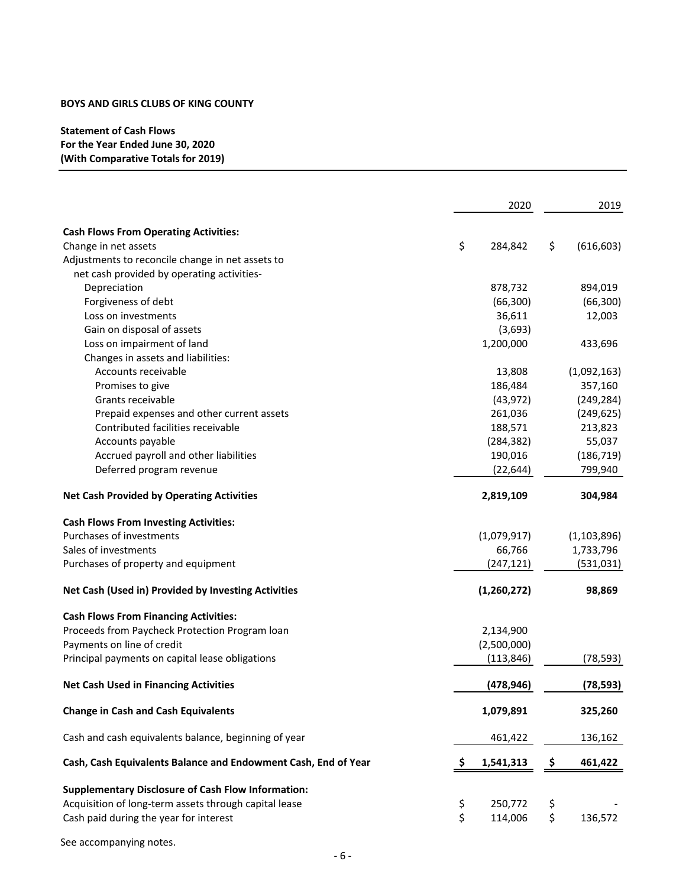# **Statement of Cash Flows For the Year Ended June 30, 2020 (With Comparative Totals for 2019)**

|                                                                | 2020 |             |    | 2019          |
|----------------------------------------------------------------|------|-------------|----|---------------|
| <b>Cash Flows From Operating Activities:</b>                   |      |             |    |               |
| Change in net assets                                           | \$   | 284,842     | \$ | (616, 603)    |
| Adjustments to reconcile change in net assets to               |      |             |    |               |
| net cash provided by operating activities-                     |      |             |    |               |
| Depreciation                                                   |      | 878,732     |    | 894,019       |
| Forgiveness of debt                                            |      | (66, 300)   |    | (66, 300)     |
| Loss on investments                                            |      | 36,611      |    | 12,003        |
| Gain on disposal of assets                                     |      | (3,693)     |    |               |
| Loss on impairment of land                                     |      | 1,200,000   |    | 433,696       |
| Changes in assets and liabilities:                             |      |             |    |               |
| Accounts receivable                                            |      | 13,808      |    | (1,092,163)   |
| Promises to give                                               |      | 186,484     |    | 357,160       |
| Grants receivable                                              |      | (43, 972)   |    | (249, 284)    |
| Prepaid expenses and other current assets                      |      | 261,036     |    | (249, 625)    |
| Contributed facilities receivable                              |      | 188,571     |    | 213,823       |
| Accounts payable                                               |      | (284, 382)  |    | 55,037        |
| Accrued payroll and other liabilities                          |      | 190,016     |    | (186, 719)    |
| Deferred program revenue                                       |      |             |    | 799,940       |
|                                                                |      | (22, 644)   |    |               |
| <b>Net Cash Provided by Operating Activities</b>               |      | 2,819,109   |    | 304,984       |
| <b>Cash Flows From Investing Activities:</b>                   |      |             |    |               |
| Purchases of investments                                       |      | (1,079,917) |    | (1, 103, 896) |
| Sales of investments                                           |      | 66,766      |    | 1,733,796     |
| Purchases of property and equipment                            |      | (247, 121)  |    | (531, 031)    |
| Net Cash (Used in) Provided by Investing Activities            |      | (1,260,272) |    | 98,869        |
| <b>Cash Flows From Financing Activities:</b>                   |      |             |    |               |
| Proceeds from Paycheck Protection Program loan                 |      | 2,134,900   |    |               |
| Payments on line of credit                                     |      | (2,500,000) |    |               |
| Principal payments on capital lease obligations                |      | (113, 846)  |    | (78, 593)     |
| <b>Net Cash Used in Financing Activities</b>                   |      | (478, 946)  |    | (78, 593)     |
| <b>Change in Cash and Cash Equivalents</b>                     |      | 1,079,891   |    | 325,260       |
| Cash and cash equivalents balance, beginning of year           |      | 461,422     |    | 136,162       |
| Cash, Cash Equivalents Balance and Endowment Cash, End of Year |      | 1,541,313   | Ş  | 461,422       |
| <b>Supplementary Disclosure of Cash Flow Information:</b>      |      |             |    |               |
| Acquisition of long-term assets through capital lease          | \$   | 250,772     | \$ |               |
| Cash paid during the year for interest                         | \$   | 114,006     | \$ | 136,572       |
|                                                                |      |             |    |               |

See accompanying notes.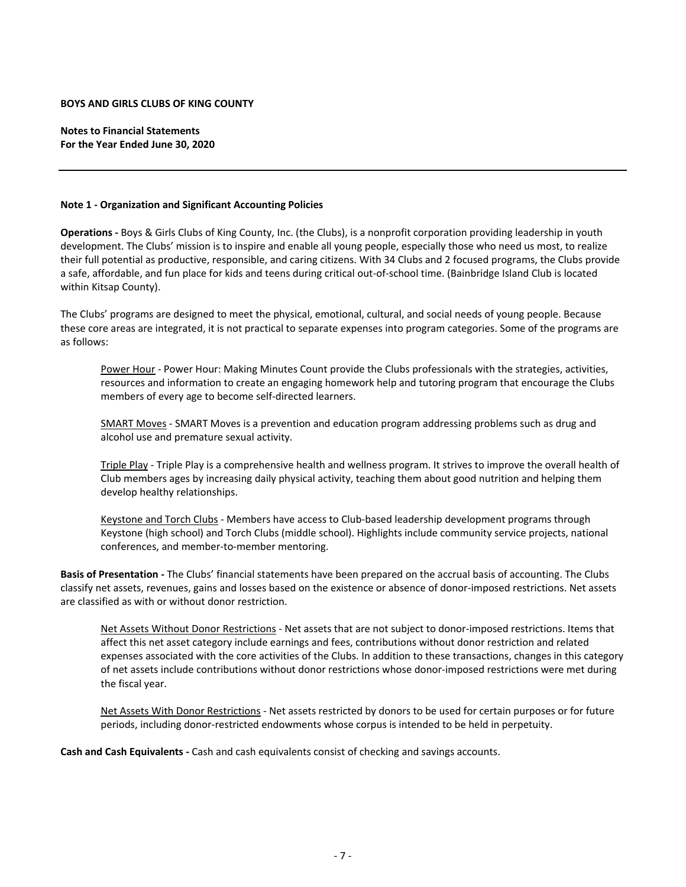**Notes to Financial Statements For the Year Ended June 30, 2020**

#### **Note 1 ‐ Organization and Significant Accounting Policies**

**Operations ‐** Boys & Girls Clubs of King County, Inc. (the Clubs), is a nonprofit corporation providing leadership in youth development. The Clubs' mission is to inspire and enable all young people, especially those who need us most, to realize their full potential as productive, responsible, and caring citizens. With 34 Clubs and 2 focused programs, the Clubs provide a safe, affordable, and fun place for kids and teens during critical out‐of‐school time. (Bainbridge Island Club is located within Kitsap County).

The Clubs' programs are designed to meet the physical, emotional, cultural, and social needs of young people. Because these core areas are integrated, it is not practical to separate expenses into program categories. Some of the programs are as follows:

Power Hour ‐ Power Hour: Making Minutes Count provide the Clubs professionals with the strategies, activities, resources and information to create an engaging homework help and tutoring program that encourage the Clubs members of every age to become self‐directed learners.

SMART Moves - SMART Moves is a prevention and education program addressing problems such as drug and alcohol use and premature sexual activity.

Triple Play ‐ Triple Play is a comprehensive health and wellness program. It strives to improve the overall health of Club members ages by increasing daily physical activity, teaching them about good nutrition and helping them develop healthy relationships.

Keystone and Torch Clubs ‐ Members have access to Club‐based leadership development programs through Keystone (high school) and Torch Clubs (middle school). Highlights include community service projects, national conferences, and member‐to‐member mentoring.

**Basis of Presentation ‐** The Clubs' financial statements have been prepared on the accrual basis of accounting. The Clubs classify net assets, revenues, gains and losses based on the existence or absence of donor‐imposed restrictions. Net assets are classified as with or without donor restriction.

Net Assets Without Donor Restrictions - Net assets that are not subject to donor-imposed restrictions. Items that affect this net asset category include earnings and fees, contributions without donor restriction and related expenses associated with the core activities of the Clubs. In addition to these transactions, changes in this category of net assets include contributions without donor restrictions whose donor-imposed restrictions were met during the fiscal year.

Net Assets With Donor Restrictions ‐ Net assets restricted by donors to be used for certain purposes or for future periods, including donor-restricted endowments whose corpus is intended to be held in perpetuity.

**Cash and Cash Equivalents ‐** Cash and cash equivalents consist of checking and savings accounts.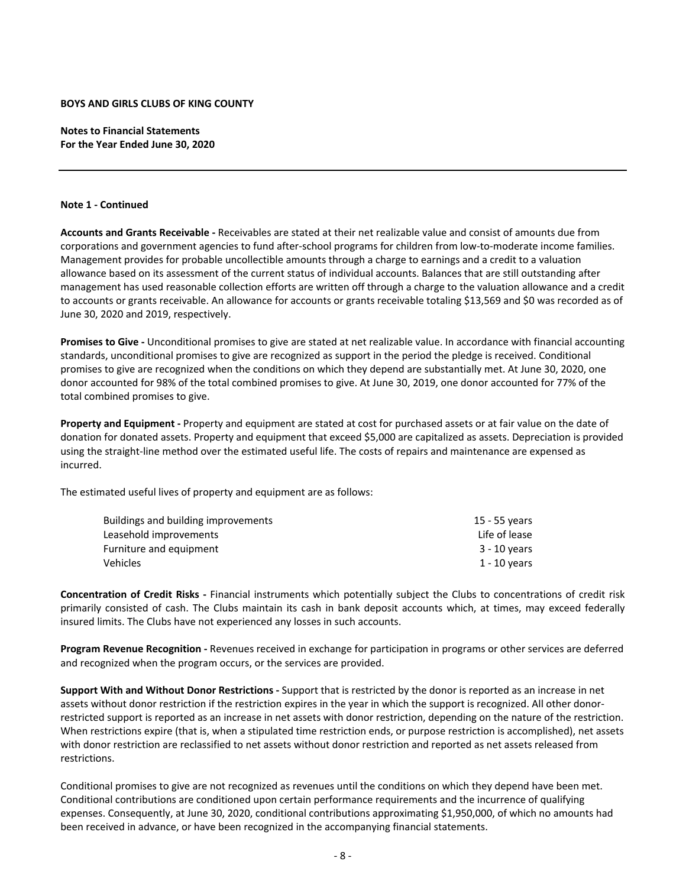**Notes to Financial Statements For the Year Ended June 30, 2020**

#### **Note 1 ‐ Continued**

**Accounts and Grants Receivable ‐** Receivables are stated at their net realizable value and consist of amounts due from corporations and government agencies to fund after-school programs for children from low-to-moderate income families. Management provides for probable uncollectible amounts through a charge to earnings and a credit to a valuation allowance based on its assessment of the current status of individual accounts. Balances that are still outstanding after management has used reasonable collection efforts are written off through a charge to the valuation allowance and a credit to accounts or grants receivable. An allowance for accounts or grants receivable totaling \$13,569 and \$0 was recorded as of June 30, 2020 and 2019, respectively.

**Promises to Give ‐** Unconditional promises to give are stated at net realizable value. In accordance with financial accounting standards, unconditional promises to give are recognized as support in the period the pledge is received. Conditional promises to give are recognized when the conditions on which they depend are substantially met. At June 30, 2020, one donor accounted for 98% of the total combined promises to give. At June 30, 2019, one donor accounted for 77% of the total combined promises to give.

**Property and Equipment ‐** Property and equipment are stated at cost for purchased assets or at fair value on the date of donation for donated assets. Property and equipment that exceed \$5,000 are capitalized as assets. Depreciation is provided using the straight‐line method over the estimated useful life. The costs of repairs and maintenance are expensed as incurred.

The estimated useful lives of property and equipment are as follows:

| Buildings and building improvements | 15 - 55 years |
|-------------------------------------|---------------|
| Leasehold improvements              | Life of lease |
| Furniture and equipment             | 3 - 10 years  |
| Vehicles                            | 1 - 10 years  |
|                                     |               |

**Concentration of Credit Risks ‐** Financial instruments which potentially subject the Clubs to concentrations of credit risk primarily consisted of cash. The Clubs maintain its cash in bank deposit accounts which, at times, may exceed federally insured limits. The Clubs have not experienced any losses in such accounts.

**Program Revenue Recognition ‐** Revenues received in exchange for participation in programs or other services are deferred and recognized when the program occurs, or the services are provided.

**Support With and Without Donor Restrictions ‐** Support that is restricted by the donor is reported as an increase in net assets without donor restriction if the restriction expires in the year in which the support is recognized. All other donorrestricted support is reported as an increase in net assets with donor restriction, depending on the nature of the restriction. When restrictions expire (that is, when a stipulated time restriction ends, or purpose restriction is accomplished), net assets with donor restriction are reclassified to net assets without donor restriction and reported as net assets released from restrictions.

Conditional promises to give are not recognized as revenues until the conditions on which they depend have been met. Conditional contributions are conditioned upon certain performance requirements and the incurrence of qualifying expenses. Consequently, at June 30, 2020, conditional contributions approximating \$1,950,000, of which no amounts had been received in advance, or have been recognized in the accompanying financial statements.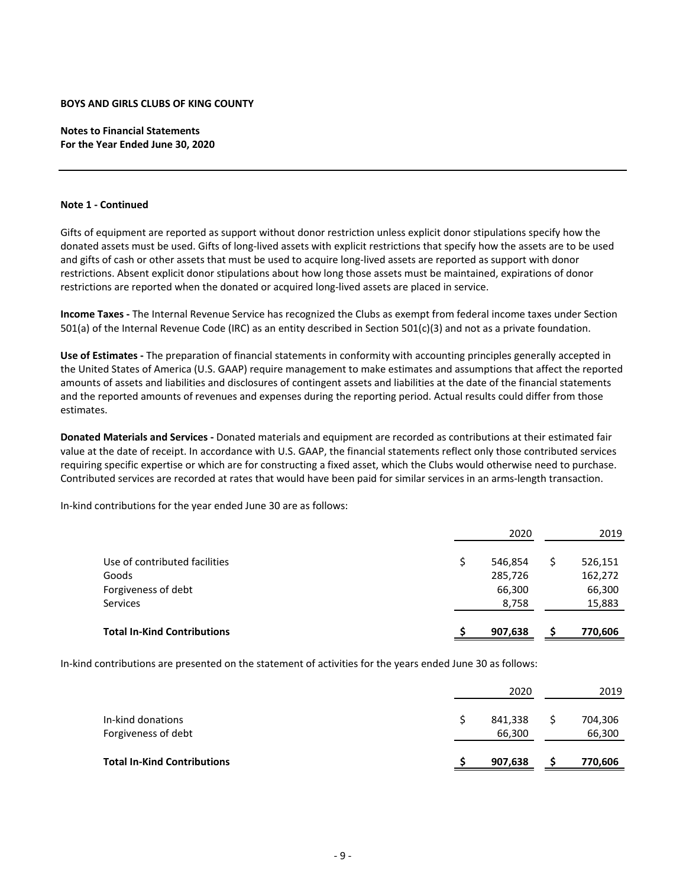**Notes to Financial Statements For the Year Ended June 30, 2020**

## **Note 1 ‐ Continued**

Gifts of equipment are reported as support without donor restriction unless explicit donor stipulations specify how the donated assets must be used. Gifts of long‐lived assets with explicit restrictions that specify how the assets are to be used and gifts of cash or other assets that must be used to acquire long-lived assets are reported as support with donor restrictions. Absent explicit donor stipulations about how long those assets must be maintained, expirations of donor restrictions are reported when the donated or acquired long‐lived assets are placed in service.

**Income Taxes ‐** The Internal Revenue Service has recognized the Clubs as exempt from federal income taxes under Section 501(a) of the Internal Revenue Code (IRC) as an entity described in Section 501(c)(3) and not as a private foundation.

**Use of Estimates ‐** The preparation of financial statements in conformity with accounting principles generally accepted in the United States of America (U.S. GAAP) require management to make estimates and assumptions that affect the reported amounts of assets and liabilities and disclosures of contingent assets and liabilities at the date of the financial statements and the reported amounts of revenues and expenses during the reporting period. Actual results could differ from those estimates.

**Donated Materials and Services ‐** Donated materials and equipment are recorded as contributions at their estimated fair value at the date of receipt. In accordance with U.S. GAAP, the financial statements reflect only those contributed services requiring specific expertise or which are for constructing a fixed asset, which the Clubs would otherwise need to purchase. Contributed services are recorded at rates that would have been paid for similar services in an arms‐length transaction.

In‐kind contributions for the year ended June 30 are as follows:

|                                    | 2020    | 2019    |
|------------------------------------|---------|---------|
| Use of contributed facilities      | 546,854 | 526,151 |
| Goods                              | 285,726 | 162,272 |
| Forgiveness of debt                | 66,300  | 66,300  |
| Services                           | 8,758   | 15,883  |
| <b>Total In-Kind Contributions</b> | 907,638 | 770,606 |

In-kind contributions are presented on the statement of activities for the years ended June 30 as follows:

|                                          | 2020              | 2019              |
|------------------------------------------|-------------------|-------------------|
| In-kind donations<br>Forgiveness of debt | 841,338<br>66,300 | 704,306<br>66,300 |
| <b>Total In-Kind Contributions</b>       | 907,638           | 770,606           |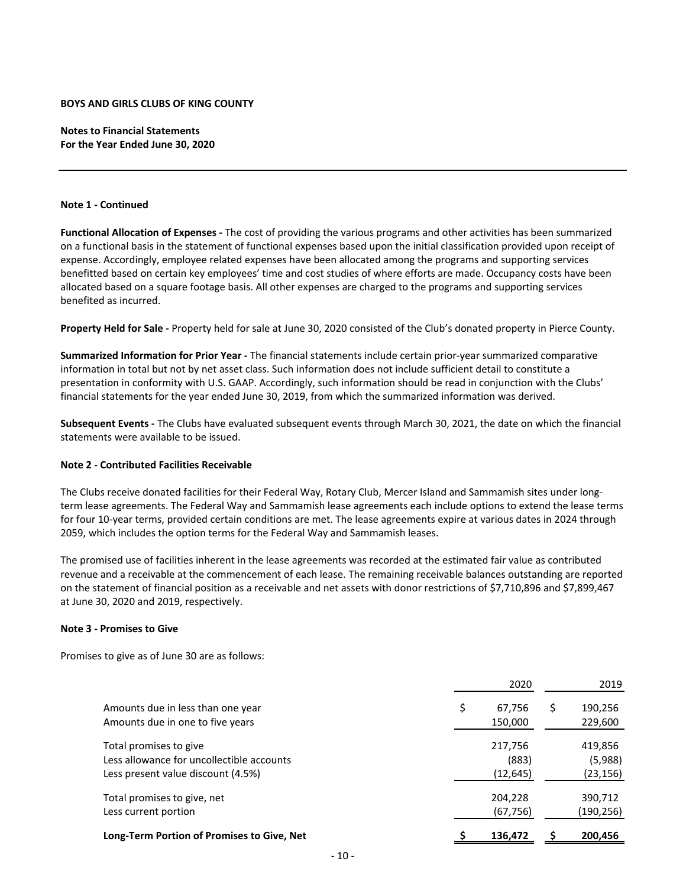**Notes to Financial Statements For the Year Ended June 30, 2020**

## **Note 1 ‐ Continued**

**Functional Allocation of Expenses ‐** The cost of providing the various programs and other activities has been summarized on a functional basis in the statement of functional expenses based upon the initial classification provided upon receipt of expense. Accordingly, employee related expenses have been allocated among the programs and supporting services benefitted based on certain key employees' time and cost studies of where efforts are made. Occupancy costs have been allocated based on a square footage basis. All other expenses are charged to the programs and supporting services benefited as incurred.

**Property Held for Sale ‐** Property held for sale at June 30, 2020 consisted of the Club's donated property in Pierce County.

**Summarized Information for Prior Year ‐** The financial statements include certain prior‐year summarized comparative information in total but not by net asset class. Such information does not include sufficient detail to constitute a presentation in conformity with U.S. GAAP. Accordingly, such information should be read in conjunction with the Clubs' financial statements for the year ended June 30, 2019, from which the summarized information was derived.

**Subsequent Events ‐** The Clubs have evaluated subsequent events through March 30, 2021, the date on which the financial statements were available to be issued.

# **Note 2 ‐ Contributed Facilities Receivable**

The Clubs receive donated facilities for their Federal Way, Rotary Club, Mercer Island and Sammamish sites under long‐ term lease agreements. The Federal Way and Sammamish lease agreements each include options to extend the lease terms for four 10‐year terms, provided certain conditions are met. The lease agreements expire at various dates in 2024 through 2059, which includes the option terms for the Federal Way and Sammamish leases.

The promised use of facilities inherent in the lease agreements was recorded at the estimated fair value as contributed revenue and a receivable at the commencement of each lease. The remaining receivable balances outstanding are reported on the statement of financial position as a receivable and net assets with donor restrictions of \$7,710,896 and \$7,899,467 at June 30, 2020 and 2019, respectively.

#### **Note 3 ‐ Promises to Give**

Promises to give as of June 30 are as follows:

|                                                                                                           | 2020                          |   | 2019                           |
|-----------------------------------------------------------------------------------------------------------|-------------------------------|---|--------------------------------|
| Amounts due in less than one year<br>Amounts due in one to five years                                     | \$<br>67,756<br>150,000       | S | 190,256<br>229,600             |
| Total promises to give<br>Less allowance for uncollectible accounts<br>Less present value discount (4.5%) | 217,756<br>(883)<br>(12, 645) |   | 419,856<br>(5,988)<br>(23,156) |
| Total promises to give, net<br>Less current portion                                                       | 204,228<br>(67, 756)          |   | 390,712<br>(190,256)           |
| Long-Term Portion of Promises to Give, Net                                                                | 136,472                       |   | 200,456                        |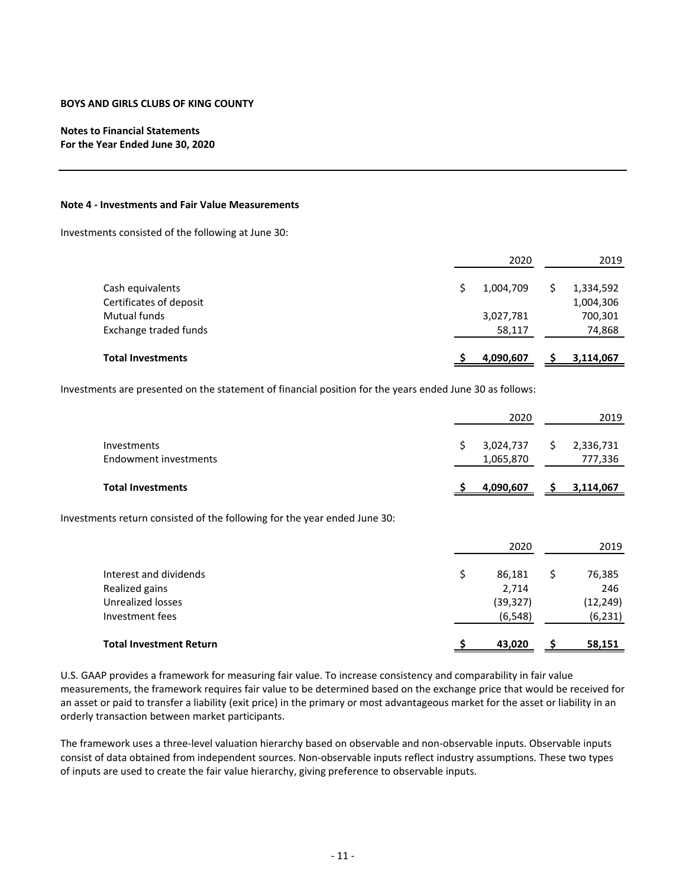# **Notes to Financial Statements For the Year Ended June 30, 2020**

#### **Note 4 ‐ Investments and Fair Value Measurements**

Investments consisted of the following at June 30:

|                          | 2020      | 2019      |
|--------------------------|-----------|-----------|
| Cash equivalents         | 1,004,709 | 1,334,592 |
| Certificates of deposit  |           | 1,004,306 |
| Mutual funds             | 3,027,781 | 700,301   |
| Exchange traded funds    | 58,117    | 74,868    |
| <b>Total Investments</b> | 4,090,607 | 3,114,067 |

Investments are presented on the statement of financial position for the years ended June 30 as follows:

|                                                                                  | 2020                                           |    | 2019                                   |
|----------------------------------------------------------------------------------|------------------------------------------------|----|----------------------------------------|
| <b>Investments</b><br>Endowment investments                                      | \$<br>3,024,737<br>1,065,870                   | S  | 2,336,731<br>777,336                   |
| <b>Total Investments</b>                                                         | 4,090,607                                      |    | 3,114,067                              |
| Investments return consisted of the following for the year ended June 30:        |                                                |    |                                        |
|                                                                                  | 2020                                           |    | 2019                                   |
| Interest and dividends<br>Realized gains<br>Unrealized losses<br>Investment fees | \$<br>86,181<br>2,714<br>(39, 327)<br>(6, 548) | \$ | 76,385<br>246<br>(12, 249)<br>(6, 231) |
| <b>Total Investment Return</b>                                                   | 43,020                                         |    | 58,151                                 |

U.S. GAAP provides a framework for measuring fair value. To increase consistency and comparability in fair value measurements, the framework requires fair value to be determined based on the exchange price that would be received for an asset or paid to transfer a liability (exit price) in the primary or most advantageous market for the asset or liability in an orderly transaction between market participants.

The framework uses a three‐level valuation hierarchy based on observable and non‐observable inputs. Observable inputs consist of data obtained from independent sources. Non‐observable inputs reflect industry assumptions. These two types of inputs are used to create the fair value hierarchy, giving preference to observable inputs.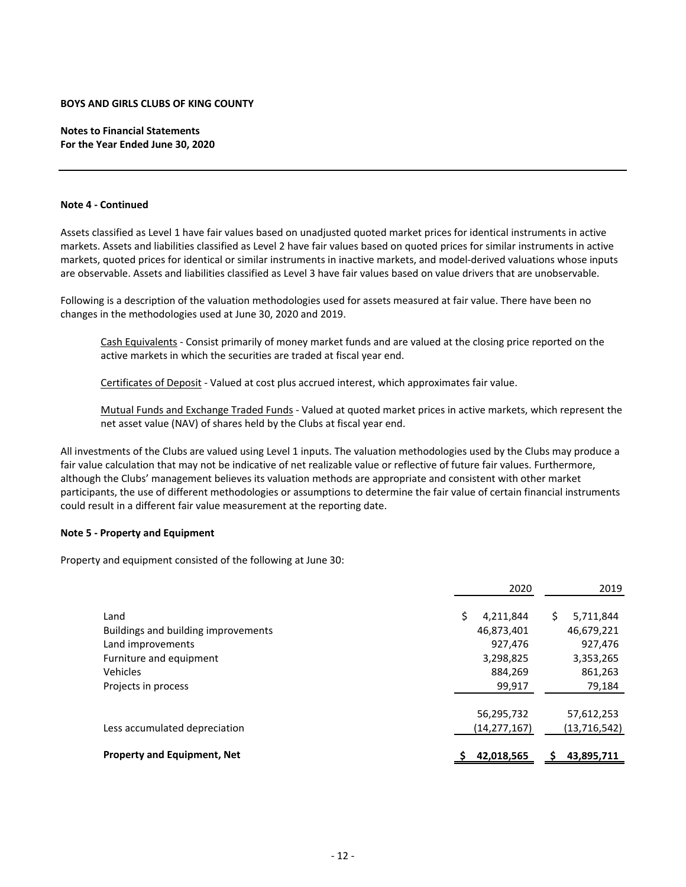**Notes to Financial Statements For the Year Ended June 30, 2020**

#### **Note 4 ‐ Continued**

Assets classified as Level 1 have fair values based on unadjusted quoted market prices for identical instruments in active markets. Assets and liabilities classified as Level 2 have fair values based on quoted prices for similar instruments in active markets, quoted prices for identical or similar instruments in inactive markets, and model‐derived valuations whose inputs are observable. Assets and liabilities classified as Level 3 have fair values based on value drivers that are unobservable.

Following is a description of the valuation methodologies used for assets measured at fair value. There have been no changes in the methodologies used at June 30, 2020 and 2019.

Cash Equivalents ‐ Consist primarily of money market funds and are valued at the closing price reported on the active markets in which the securities are traded at fiscal year end.

Certificates of Deposit - Valued at cost plus accrued interest, which approximates fair value.

Mutual Funds and Exchange Traded Funds ‐ Valued at quoted market prices in active markets, which represent the net asset value (NAV) of shares held by the Clubs at fiscal year end.

All investments of the Clubs are valued using Level 1 inputs. The valuation methodologies used by the Clubs may produce a fair value calculation that may not be indicative of net realizable value or reflective of future fair values. Furthermore, although the Clubs' management believes its valuation methods are appropriate and consistent with other market participants, the use of different methodologies or assumptions to determine the fair value of certain financial instruments could result in a different fair value measurement at the reporting date.

## **Note 5 ‐ Property and Equipment**

Property and equipment consisted of the following at June 30:

|                                     | 2020            | 2019            |
|-------------------------------------|-----------------|-----------------|
| Land                                | Ś.<br>4,211,844 | \$<br>5,711,844 |
| Buildings and building improvements | 46,873,401      | 46,679,221      |
| Land improvements                   | 927,476         | 927,476         |
| Furniture and equipment             | 3,298,825       | 3,353,265       |
| Vehicles                            | 884,269         | 861,263         |
| Projects in process                 | 99,917          | 79,184          |
|                                     |                 |                 |
|                                     | 56,295,732      | 57,612,253      |
| Less accumulated depreciation       | (14, 277, 167)  | (13, 716, 542)  |
|                                     |                 |                 |
| <b>Property and Equipment, Net</b>  | 42,018,565      | 43,895,711      |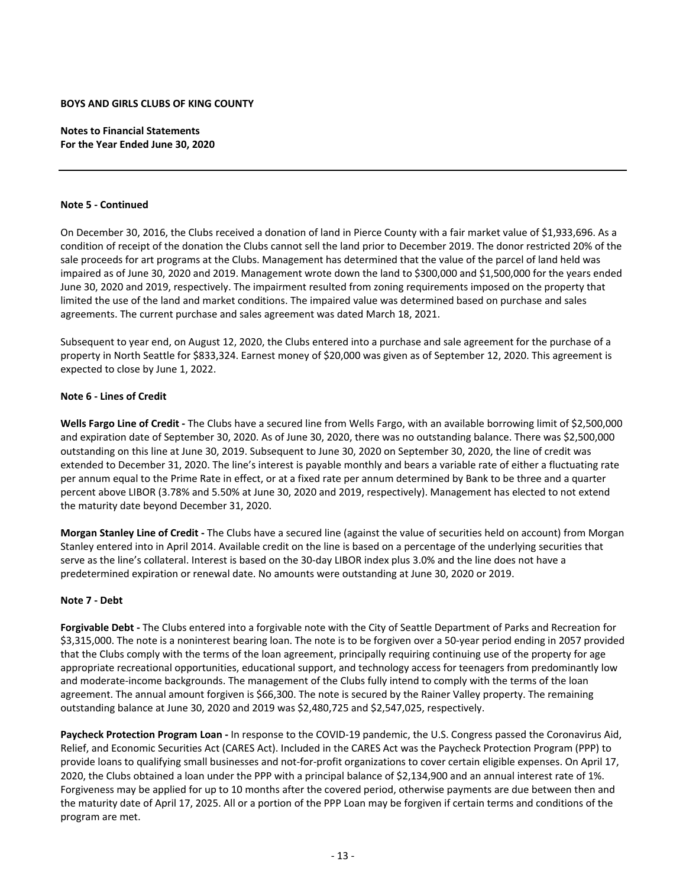**Notes to Financial Statements For the Year Ended June 30, 2020**

#### **Note 5 ‐ Continued**

On December 30, 2016, the Clubs received a donation of land in Pierce County with a fair market value of \$1,933,696. As a condition of receipt of the donation the Clubs cannot sell the land prior to December 2019. The donor restricted 20% of the sale proceeds for art programs at the Clubs. Management has determined that the value of the parcel of land held was impaired as of June 30, 2020 and 2019. Management wrote down the land to \$300,000 and \$1,500,000 for the years ended June 30, 2020 and 2019, respectively. The impairment resulted from zoning requirements imposed on the property that limited the use of the land and market conditions. The impaired value was determined based on purchase and sales agreements. The current purchase and sales agreement was dated March 18, 2021.

Subsequent to year end, on August 12, 2020, the Clubs entered into a purchase and sale agreement for the purchase of a property in North Seattle for \$833,324. Earnest money of \$20,000 was given as of September 12, 2020. This agreement is expected to close by June 1, 2022.

#### **Note 6 ‐ Lines of Credit**

**Wells Fargo Line of Credit ‐** The Clubs have a secured line from Wells Fargo, with an available borrowing limit of \$2,500,000 and expiration date of September 30, 2020. As of June 30, 2020, there was no outstanding balance. There was \$2,500,000 outstanding on this line at June 30, 2019. Subsequent to June 30, 2020 on September 30, 2020, the line of credit was extended to December 31, 2020. The line's interest is payable monthly and bears a variable rate of either a fluctuating rate per annum equal to the Prime Rate in effect, or at a fixed rate per annum determined by Bank to be three and a quarter percent above LIBOR (3.78% and 5.50% at June 30, 2020 and 2019, respectively). Management has elected to not extend the maturity date beyond December 31, 2020.

**Morgan Stanley Line of Credit ‐** The Clubs have a secured line (against the value of securities held on account) from Morgan Stanley entered into in April 2014. Available credit on the line is based on a percentage of the underlying securities that serve as the line's collateral. Interest is based on the 30-day LIBOR index plus 3.0% and the line does not have a predetermined expiration or renewal date. No amounts were outstanding at June 30, 2020 or 2019.

#### **Note 7 ‐ Debt**

**Forgivable Debt ‐** The Clubs entered into a forgivable note with the City of Seattle Department of Parks and Recreation for \$3,315,000. The note is a noninterest bearing loan. The note is to be forgiven over a 50‐year period ending in 2057 provided that the Clubs comply with the terms of the loan agreement, principally requiring continuing use of the property for age appropriate recreational opportunities, educational support, and technology access for teenagers from predominantly low and moderate‐income backgrounds. The management of the Clubs fully intend to comply with the terms of the loan agreement. The annual amount forgiven is \$66,300. The note is secured by the Rainer Valley property. The remaining outstanding balance at June 30, 2020 and 2019 was \$2,480,725 and \$2,547,025, respectively.

**Paycheck Protection Program Loan ‐** In response to the COVID‐19 pandemic, the U.S. Congress passed the Coronavirus Aid, Relief, and Economic Securities Act (CARES Act). Included in the CARES Act was the Paycheck Protection Program (PPP) to provide loans to qualifying small businesses and not‐for‐profit organizations to cover certain eligible expenses. On April 17, 2020, the Clubs obtained a loan under the PPP with a principal balance of \$2,134,900 and an annual interest rate of 1%. Forgiveness may be applied for up to 10 months after the covered period, otherwise payments are due between then and the maturity date of April 17, 2025. All or a portion of the PPP Loan may be forgiven if certain terms and conditions of the program are met.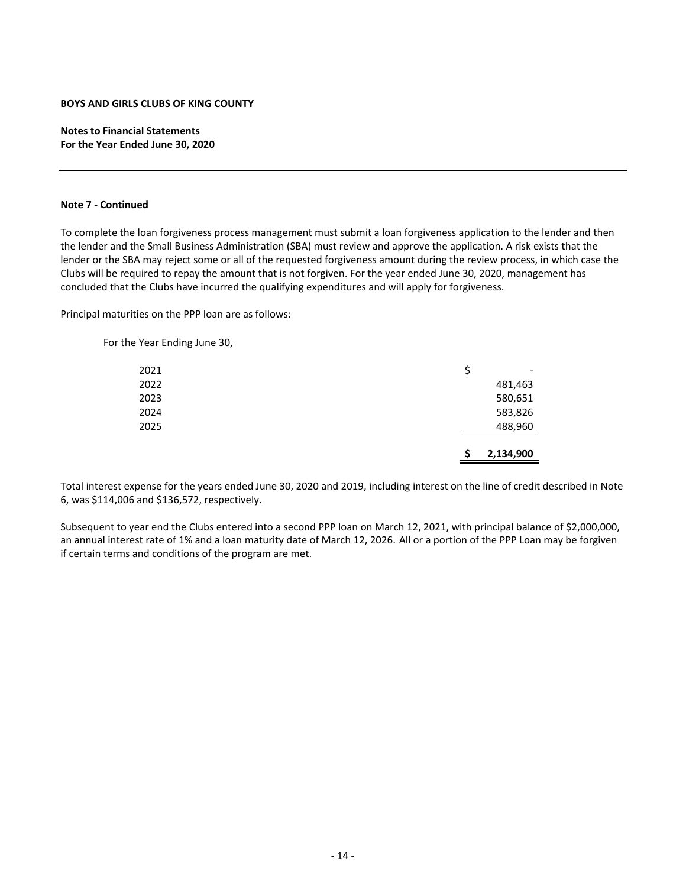**Notes to Financial Statements For the Year Ended June 30, 2020**

## **Note 7 ‐ Continued**

To complete the loan forgiveness process management must submit a loan forgiveness application to the lender and then the lender and the Small Business Administration (SBA) must review and approve the application. A risk exists that the lender or the SBA may reject some or all of the requested forgiveness amount during the review process, in which case the Clubs will be required to repay the amount that is not forgiven. For the year ended June 30, 2020, management has concluded that the Clubs have incurred the qualifying expenditures and will apply for forgiveness.

Principal maturities on the PPP loan are as follows:

For the Year Ending June 30,

|      | S  | 2,134,900                |
|------|----|--------------------------|
| 2025 |    | 488,960                  |
| 2024 |    | 583,826                  |
| 2023 |    | 580,651                  |
| 2022 |    | 481,463                  |
| 2021 | \$ | $\overline{\phantom{a}}$ |

Total interest expense for the years ended June 30, 2020 and 2019, including interest on the line of credit described in Note 6, was \$114,006 and \$136,572, respectively.

Subsequent to year end the Clubs entered into a second PPP loan on March 12, 2021, with principal balance of \$2,000,000, an annual interest rate of 1% and a loan maturity date of March 12, 2026. All or a portion of the PPP Loan may be forgiven if certain terms and conditions of the program are met.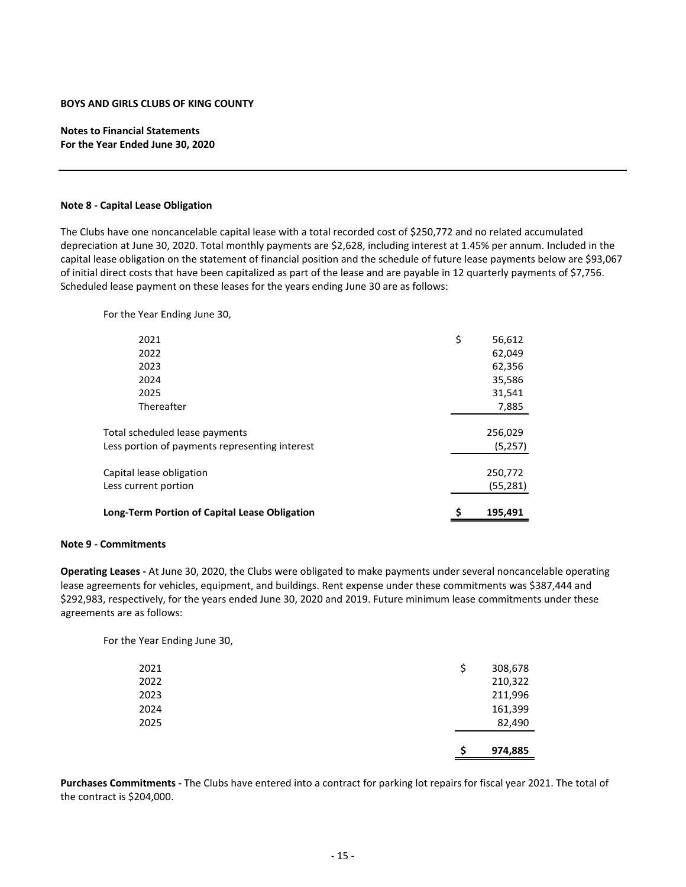**Notes to Financial Statements For the Year Ended June 30, 2020**

#### **Note 8 ‐ Capital Lease Obligation**

The Clubs have one noncancelable capital lease with a total recorded cost of \$250,772 and no related accumulated depreciation at June 30, 2020. Total monthly payments are \$2,628, including interest at 1.45% per annum. Included in the capital lease obligation on the statement of financial position and the schedule of future lease payments below are \$93,067 of initial direct costs that have been capitalized as part of the lease and are payable in 12 quarterly payments of \$7,756. Scheduled lease payment on these leases for the years ending June 30 are as follows:

For the Year Ending June 30,

| <b>Long-Term Portion of Capital Lease Obligation</b> | \$<br>195,491 |
|------------------------------------------------------|---------------|
| Less current portion                                 | (55,281)      |
| Capital lease obligation                             | 250,772       |
|                                                      |               |
| Less portion of payments representing interest       | (5,257)       |
| Total scheduled lease payments                       | 256,029       |
|                                                      |               |
| Thereafter                                           | 7,885         |
| 2025                                                 | 31,541        |
| 2024                                                 | 35,586        |
| 2023                                                 | 62,356        |
| 2022                                                 | 62,049        |
| 2021                                                 | \$<br>56,612  |
|                                                      |               |

#### **Note 9 ‐ Commitments**

**Operating Leases ‐** At June 30, 2020, the Clubs were obligated to make payments under several noncancelable operating lease agreements for vehicles, equipment, and buildings. Rent expense under these commitments was \$387,444 and \$292,983, respectively, for the years ended June 30, 2020 and 2019. Future minimum lease commitments under these agreements are as follows:

For the Year Ending June 30,

|      |    | 974,885 |
|------|----|---------|
| 2025 |    | 82,490  |
| 2024 |    | 161,399 |
| 2023 |    | 211,996 |
| 2022 |    | 210,322 |
| 2021 | \$ | 308,678 |

**Purchases Commitments ‐** The Clubs have entered into a contract for parking lot repairs for fiscal year 2021. The total of the contract is \$204,000.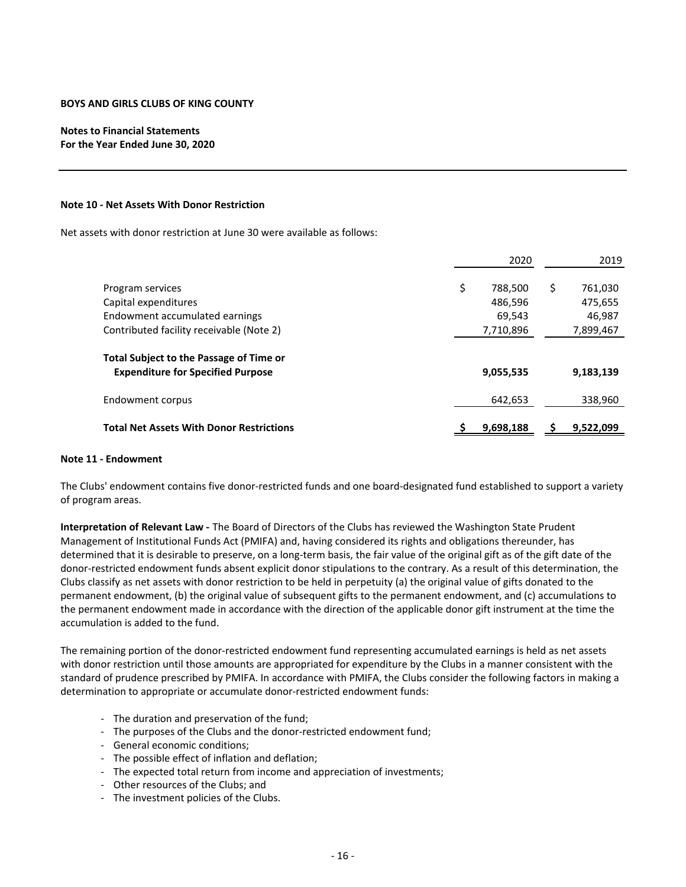# **Notes to Financial Statements For the Year Ended June 30, 2020**

#### **Note 10 ‐ Net Assets With Donor Restriction**

Net assets with donor restriction at June 30 were available as follows:

|                                                                                            | 2020          | 2019          |
|--------------------------------------------------------------------------------------------|---------------|---------------|
| Program services                                                                           | \$<br>788,500 | \$<br>761,030 |
| Capital expenditures                                                                       | 486,596       | 475,655       |
| Endowment accumulated earnings                                                             | 69,543        | 46,987        |
| Contributed facility receivable (Note 2)                                                   | 7,710,896     | 7,899,467     |
| <b>Total Subject to the Passage of Time or</b><br><b>Expenditure for Specified Purpose</b> | 9,055,535     | 9,183,139     |
| Endowment corpus                                                                           | 642.653       | 338,960       |
| <b>Total Net Assets With Donor Restrictions</b>                                            | 9,698,188     | 9,522,099     |

#### **Note 11 ‐ Endowment**

The Clubs' endowment contains five donor-restricted funds and one board-designated fund established to support a variety of program areas.

**Interpretation of Relevant Law ‐** The Board of Directors of the Clubs has reviewed the Washington State Prudent Management of Institutional Funds Act (PMIFA) and, having considered its rights and obligations thereunder, has determined that it is desirable to preserve, on a long‐term basis, the fair value of the original gift as of the gift date of the donor‐restricted endowment funds absent explicit donor stipulations to the contrary. As a result of this determination, the Clubs classify as net assets with donor restriction to be held in perpetuity (a) the original value of gifts donated to the permanent endowment, (b) the original value of subsequent gifts to the permanent endowment, and (c) accumulations to the permanent endowment made in accordance with the direction of the applicable donor gift instrument at the time the accumulation is added to the fund.

The remaining portion of the donor-restricted endowment fund representing accumulated earnings is held as net assets with donor restriction until those amounts are appropriated for expenditure by the Clubs in a manner consistent with the standard of prudence prescribed by PMIFA. In accordance with PMIFA, the Clubs consider the following factors in making a determination to appropriate or accumulate donor‐restricted endowment funds:

- ‐ The duration and preservation of the fund;
- ‐ The purposes of the Clubs and the donor‐restricted endowment fund;
- ‐ General economic conditions;
- ‐ The possible effect of inflation and deflation;
- ‐ The expected total return from income and appreciation of investments;
- ‐ Other resources of the Clubs; and
- ‐ The investment policies of the Clubs.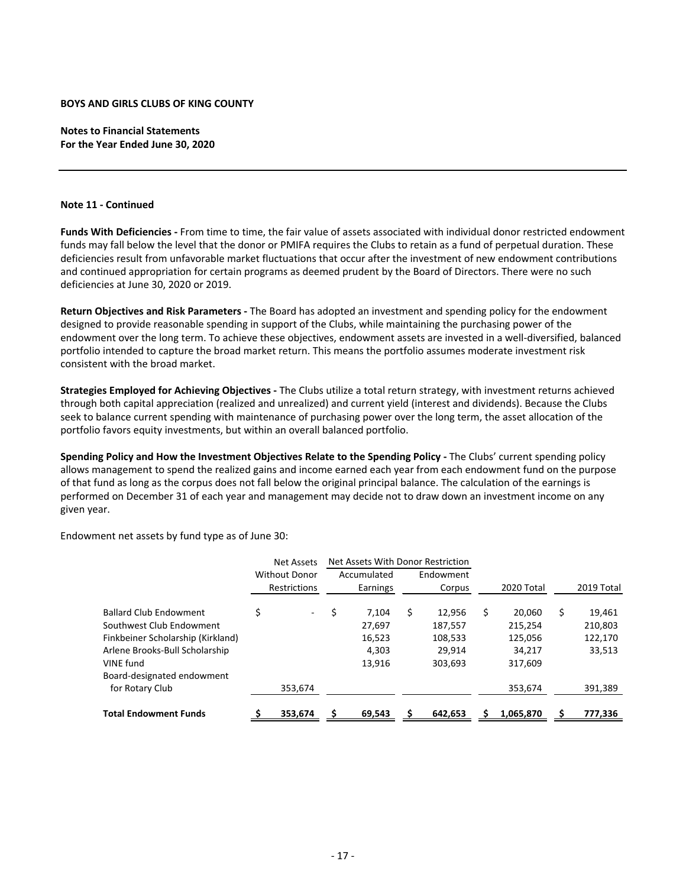**Notes to Financial Statements For the Year Ended June 30, 2020**

## **Note 11 ‐ Continued**

**Funds With Deficiencies ‐** From time to time, the fair value of assets associated with individual donor restricted endowment funds may fall below the level that the donor or PMIFA requires the Clubs to retain as a fund of perpetual duration. These deficiencies result from unfavorable market fluctuations that occur after the investment of new endowment contributions and continued appropriation for certain programs as deemed prudent by the Board of Directors. There were no such deficiencies at June 30, 2020 or 2019.

**Return Objectives and Risk Parameters ‐** The Board has adopted an investment and spending policy for the endowment designed to provide reasonable spending in support of the Clubs, while maintaining the purchasing power of the endowment over the long term. To achieve these objectives, endowment assets are invested in a well‐diversified, balanced portfolio intended to capture the broad market return. This means the portfolio assumes moderate investment risk consistent with the broad market.

**Strategies Employed for Achieving Objectives ‐** The Clubs utilize a total return strategy, with investment returns achieved through both capital appreciation (realized and unrealized) and current yield (interest and dividends). Because the Clubs seek to balance current spending with maintenance of purchasing power over the long term, the asset allocation of the portfolio favors equity investments, but within an overall balanced portfolio.

**Spending Policy and How the Investment Objectives Relate to the Spending Policy ‐** The Clubs' current spending policy allows management to spend the realized gains and income earned each year from each endowment fund on the purpose of that fund as long as the corpus does not fall below the original principal balance. The calculation of the earnings is performed on December 31 of each year and management may decide not to draw down an investment income on any given year.

Endowment net assets by fund type as of June 30:

|                                   | <b>Net Assets</b> |                          | Net Assets With Donor Restriction |             |    |           |              |              |
|-----------------------------------|-------------------|--------------------------|-----------------------------------|-------------|----|-----------|--------------|--------------|
|                                   |                   | <b>Without Donor</b>     |                                   | Accumulated |    | Endowment |              |              |
|                                   |                   | Restrictions             |                                   | Earnings    |    | Corpus    | 2020 Total   | 2019 Total   |
| <b>Ballard Club Endowment</b>     | \$                | $\overline{\phantom{0}}$ |                                   | 7.104       | \$ | 12,956    | \$<br>20.060 | \$<br>19,461 |
| Southwest Club Endowment          |                   |                          |                                   | 27,697      |    | 187,557   | 215,254      | 210,803      |
| Finkbeiner Scholarship (Kirkland) |                   |                          |                                   | 16,523      |    | 108,533   | 125,056      | 122,170      |
| Arlene Brooks-Bull Scholarship    |                   |                          |                                   | 4.303       |    | 29.914    | 34.217       | 33,513       |
| VINE fund                         |                   |                          |                                   | 13.916      |    | 303,693   | 317,609      |              |
| Board-designated endowment        |                   |                          |                                   |             |    |           |              |              |
| for Rotary Club                   |                   | 353,674                  |                                   |             |    |           | 353,674      | 391,389      |
| <b>Total Endowment Funds</b>      |                   | 353.674                  |                                   | 69.543      |    | 642.653   | 1,065,870    | 777,336      |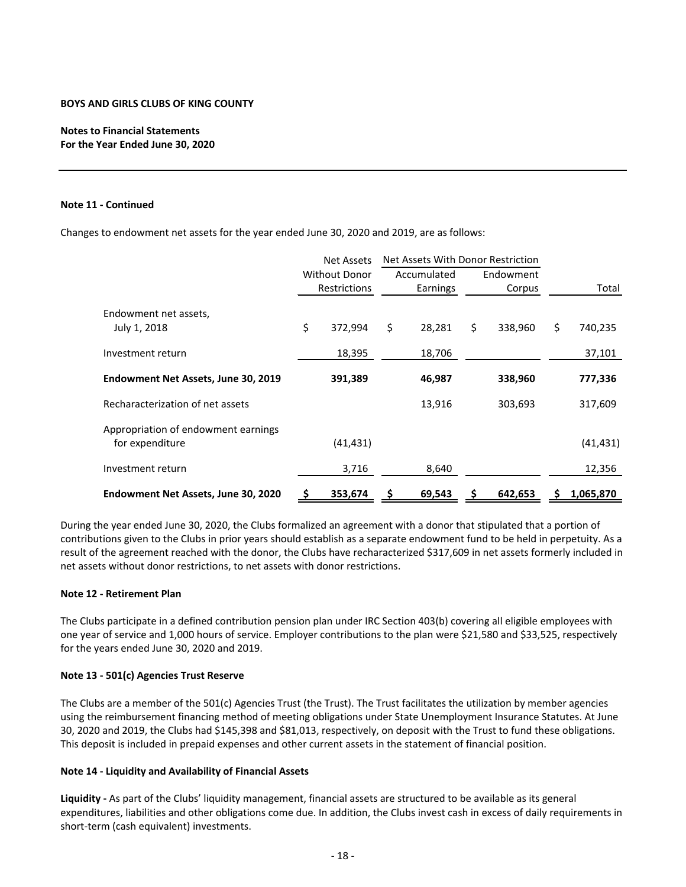# **Notes to Financial Statements For the Year Ended June 30, 2020**

#### **Note 11 ‐ Continued**

Changes to endowment net assets for the year ended June 30, 2020 and 2019, are as follows:

|                                                        | Net Assets With Donor Restriction<br><b>Net Assets</b> |                      |    |             |    |           |               |
|--------------------------------------------------------|--------------------------------------------------------|----------------------|----|-------------|----|-----------|---------------|
|                                                        |                                                        | <b>Without Donor</b> |    | Accumulated |    | Endowment |               |
|                                                        | Restrictions                                           |                      |    | Earnings    |    | Corpus    | Total         |
| Endowment net assets,<br>July 1, 2018                  | \$                                                     | 372,994              | \$ | 28,281      | \$ | 338,960   | \$<br>740,235 |
| Investment return                                      |                                                        | 18,395               |    | 18,706      |    |           | 37,101        |
| Endowment Net Assets, June 30, 2019                    |                                                        | 391,389              |    | 46,987      |    | 338,960   | 777,336       |
| Recharacterization of net assets                       |                                                        |                      |    | 13,916      |    | 303,693   | 317,609       |
| Appropriation of endowment earnings<br>for expenditure |                                                        | (41, 431)            |    |             |    |           | (41, 431)     |
| Investment return                                      |                                                        | 3,716                |    | 8,640       |    |           | 12,356        |
| Endowment Net Assets, June 30, 2020                    | s                                                      | 353,674              |    | 69,543      |    | 642,653   | 1,065,870     |

During the year ended June 30, 2020, the Clubs formalized an agreement with a donor that stipulated that a portion of contributions given to the Clubs in prior years should establish as a separate endowment fund to be held in perpetuity. As a result of the agreement reached with the donor, the Clubs have recharacterized \$317,609 in net assets formerly included in net assets without donor restrictions, to net assets with donor restrictions.

#### **Note 12 ‐ Retirement Plan**

The Clubs participate in a defined contribution pension plan under IRC Section 403(b) covering all eligible employees with one year of service and 1,000 hours of service. Employer contributions to the plan were \$21,580 and \$33,525, respectively for the years ended June 30, 2020 and 2019.

#### **Note 13 ‐ 501(c) Agencies Trust Reserve**

The Clubs are a member of the 501(c) Agencies Trust (the Trust). The Trust facilitates the utilization by member agencies using the reimbursement financing method of meeting obligations under State Unemployment Insurance Statutes. At June 30, 2020 and 2019, the Clubs had \$145,398 and \$81,013, respectively, on deposit with the Trust to fund these obligations. This deposit is included in prepaid expenses and other current assets in the statement of financial position.

## **Note 14 ‐ Liquidity and Availability of Financial Assets**

**Liquidity ‐** As part of the Clubs' liquidity management, financial assets are structured to be available as its general expenditures, liabilities and other obligations come due. In addition, the Clubs invest cash in excess of daily requirements in short-term (cash equivalent) investments.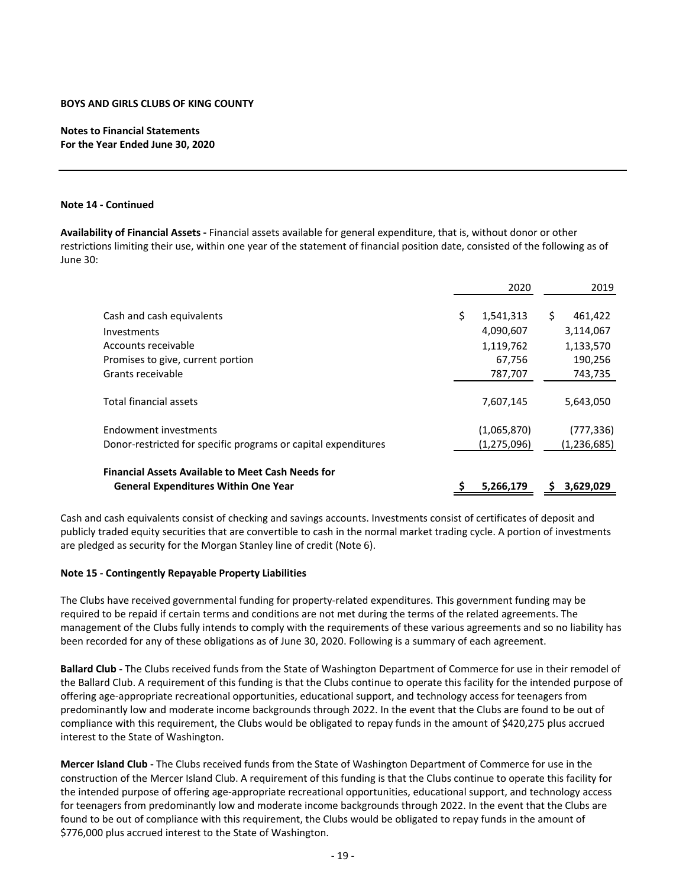# **Notes to Financial Statements For the Year Ended June 30, 2020**

#### **Note 14 ‐ Continued**

**Availability of Financial Assets ‐** Financial assets available for general expenditure, that is, without donor or other restrictions limiting their use, within one year of the statement of financial position date, consisted of the following as of June 30:

|                                                                | 2020            |   | 2019          |
|----------------------------------------------------------------|-----------------|---|---------------|
| Cash and cash equivalents                                      | \$<br>1,541,313 | S | 461,422       |
| Investments                                                    | 4,090,607       |   | 3,114,067     |
| Accounts receivable                                            | 1,119,762       |   | 1,133,570     |
| Promises to give, current portion                              | 67,756          |   | 190,256       |
| Grants receivable                                              | 787,707         |   | 743,735       |
| Total financial assets                                         | 7,607,145       |   | 5,643,050     |
| Endowment investments                                          | (1,065,870)     |   | (777, 336)    |
| Donor-restricted for specific programs or capital expenditures | (1,275,096)     |   | (1, 236, 685) |
| <b>Financial Assets Available to Meet Cash Needs for</b>       |                 |   |               |
| <b>General Expenditures Within One Year</b>                    | 5,266,179       |   | 3,629,029     |

Cash and cash equivalents consist of checking and savings accounts. Investments consist of certificates of deposit and publicly traded equity securities that are convertible to cash in the normal market trading cycle. A portion of investments are pledged as security for the Morgan Stanley line of credit (Note 6).

## **Note 15 ‐ Contingently Repayable Property Liabilities**

The Clubs have received governmental funding for property‐related expenditures. This government funding may be required to be repaid if certain terms and conditions are not met during the terms of the related agreements. The management of the Clubs fully intends to comply with the requirements of these various agreements and so no liability has been recorded for any of these obligations as of June 30, 2020. Following is a summary of each agreement.

**Ballard Club ‐** The Clubs received funds from the State of Washington Department of Commerce for use in their remodel of the Ballard Club. A requirement of this funding is that the Clubs continue to operate this facility for the intended purpose of offering age‐appropriate recreational opportunities, educational support, and technology access for teenagers from predominantly low and moderate income backgrounds through 2022. In the event that the Clubs are found to be out of compliance with this requirement, the Clubs would be obligated to repay funds in the amount of \$420,275 plus accrued interest to the State of Washington.

**Mercer Island Club ‐** The Clubs received funds from the State of Washington Department of Commerce for use in the construction of the Mercer Island Club. A requirement of this funding is that the Clubs continue to operate this facility for the intended purpose of offering age‐appropriate recreational opportunities, educational support, and technology access for teenagers from predominantly low and moderate income backgrounds through 2022. In the event that the Clubs are found to be out of compliance with this requirement, the Clubs would be obligated to repay funds in the amount of \$776,000 plus accrued interest to the State of Washington.